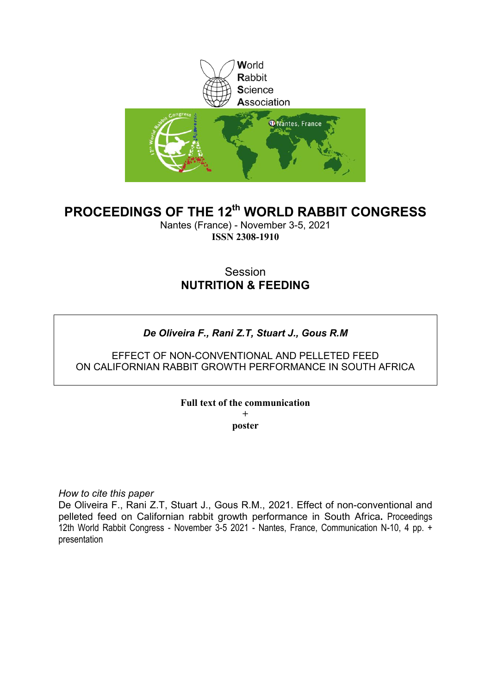

# **PROCEEDINGS OF THE 12th WORLD RABBIT CONGRESS**

Nantes (France) - November 3-5, 2021 **ISSN 2308-1910**

# Session **NUTRITION & FEEDING**

## *De Oliveira F., Rani Z.T, Stuart J., Gous R.M*

### EFFECT OF NON-CONVENTIONAL AND PELLETED FEED ON CALIFORNIAN RABBIT GROWTH PERFORMANCE IN SOUTH AFRICA

### **Full text of the communication**

**+ poster**

*How to cite this paper*

De Oliveira F., Rani Z.T, Stuart J., Gous R.M., 2021. Effect of non-conventional and pelleted feed on Californian rabbit growth performance in South Africa**.** Proceedings 12th World Rabbit Congress - November 3-5 2021 - Nantes, France, Communication N-10, 4 pp. + presentation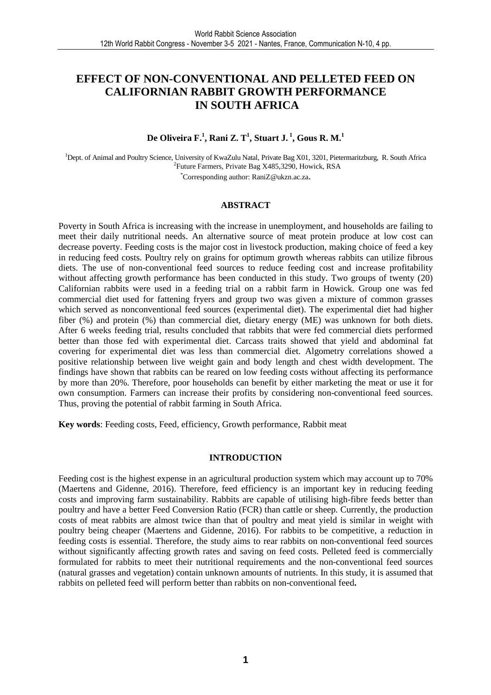## **EFFECT OF NON-CONVENTIONAL AND PELLETED FEED ON CALIFORNIAN RABBIT GROWTH PERFORMANCE IN SOUTH AFRICA**

### **De Oliveira F.<sup>1</sup> , Rani Z. T<sup>1</sup> , Stuart J.<sup>1</sup>, Gous R. M.<sup>1</sup>**

<sup>1</sup>Dept. of Animal and Poultry Science, University of KwaZulu Natal, Private Bag X01, 3201, Pietermaritzburg, R. South Africa 2 Future Farmers, Private Bag X485,3290, Howick, RSA \*Corresponding author: RaniZ@ukzn.ac.za.

#### **ABSTRACT**

Poverty in South Africa is increasing with the increase in unemployment, and households are failing to meet their daily nutritional needs. An alternative source of meat protein produce at low cost can decrease poverty. Feeding costs is the major cost in livestock production, making choice of feed a key in reducing feed costs. Poultry rely on grains for optimum growth whereas rabbits can utilize fibrous diets. The use of non-conventional feed sources to reduce feeding cost and increase profitability without affecting growth performance has been conducted in this study. Two groups of twenty (20) Californian rabbits were used in a feeding trial on a rabbit farm in Howick. Group one was fed commercial diet used for fattening fryers and group two was given a mixture of common grasses which served as nonconventional feed sources (experimental diet). The experimental diet had higher fiber (%) and protein (%) than commercial diet, dietary energy (ME) was unknown for both diets. After 6 weeks feeding trial, results concluded that rabbits that were fed commercial diets performed better than those fed with experimental diet. Carcass traits showed that yield and abdominal fat covering for experimental diet was less than commercial diet. Algometry correlations showed a positive relationship between live weight gain and body length and chest width development. The findings have shown that rabbits can be reared on low feeding costs without affecting its performance by more than 20%. Therefore, poor households can benefit by either marketing the meat or use it for own consumption. Farmers can increase their profits by considering non-conventional feed sources. Thus, proving the potential of rabbit farming in South Africa.

**Key words**: Feeding costs, Feed, efficiency, Growth performance, Rabbit meat

#### **INTRODUCTION**

Feeding cost is the highest expense in an agricultural production system which may account up to 70% (Maertens and Gidenne, 2016). Therefore, feed efficiency is an important key in reducing feeding costs and improving farm sustainability. Rabbits are capable of utilising high-fibre feeds better than poultry and have a better Feed Conversion Ratio (FCR) than cattle or sheep. Currently, the production costs of meat rabbits are almost twice than that of poultry and meat yield is similar in weight with poultry being cheaper (Maertens and Gidenne, 2016). For rabbits to be competitive, a reduction in feeding costs is essential. Therefore, the study aims to rear rabbits on non-conventional feed sources without significantly affecting growth rates and saving on feed costs. Pelleted feed is commercially formulated for rabbits to meet their nutritional requirements and the non-conventional feed sources (natural grasses and vegetation) contain unknown amounts of nutrients. In this study, it is assumed that rabbits on pelleted feed will perform better than rabbits on non-conventional feed**.**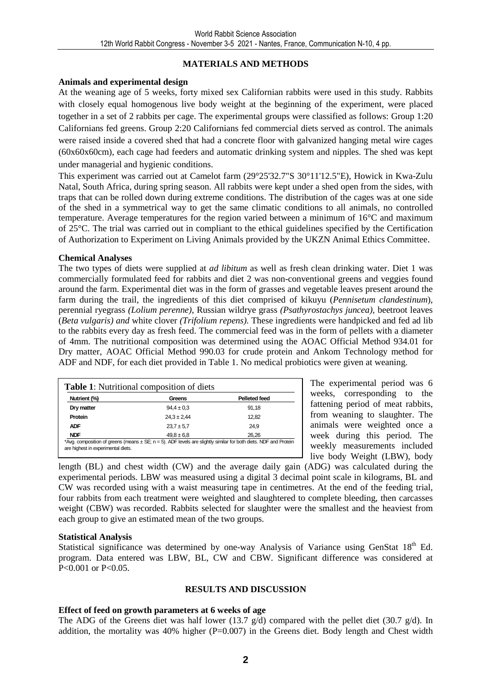#### **MATERIALS AND METHODS**

#### **Animals and experimental design**

At the weaning age of 5 weeks, forty mixed sex Californian rabbits were used in this study. Rabbits with closely equal homogenous live body weight at the beginning of the experiment, were placed together in a set of 2 rabbits per cage. The experimental groups were classified as follows: Group 1:20 Californians fed greens. Group 2:20 Californians fed commercial diets served as control. The animals were raised inside a covered shed that had a concrete floor with galvanized hanging metal wire cages (60x60x60cm), each cage had feeders and automatic drinking system and nipples. The shed was kept under managerial and hygienic conditions.

This experiment was carried out at Camelot farm (29°25'32.7"S 30°11'12.5"E), Howick in Kwa-Zulu Natal, South Africa, during spring season. All rabbits were kept under a shed open from the sides, with traps that can be rolled down during extreme conditions. The distribution of the cages was at one side of the shed in a symmetrical way to get the same climatic conditions to all animals, no controlled temperature. Average temperatures for the region varied between a minimum of 16°C and maximum of 25°C. The trial was carried out in compliant to the ethical guidelines specified by the Certification of Authorization to Experiment on Living Animals provided by the UKZN Animal Ethics Committee.

#### **Chemical Analyses**

The two types of diets were supplied at *ad libitum* as well as fresh clean drinking water. Diet 1 was commercially formulated feed for rabbits and diet 2 was non-conventional greens and veggies found around the farm. Experimental diet was in the form of grasses and vegetable leaves present around the farm during the trail, the ingredients of this diet comprised of kikuyu (*Pennisetum clandestinum*), perennial ryegrass *(Lolium perenne),* Russian wildrye grass *(Psathyrostachys juncea),* beetroot leaves (*Beta vulgaris) and* white clover *(Trifolium repens).* These ingredients were handpicked and fed ad lib to the rabbits every day as fresh feed. The commercial feed was in the form of pellets with a diameter of 4mm. The nutritional composition was determined using the AOAC Official Method 934.01 for Dry matter, AOAC Official Method 990.03 for crude protein and Ankom Technology method for ADF and NDF, for each diet provided in Table 1. No medical probiotics were given at weaning.

| Nutrient (%) | Greens          | <b>Pelleted feed</b> |
|--------------|-----------------|----------------------|
| Dry matter   | $94.4 \pm 0.3$  | 91.18                |
| Protein      | $24.3 \pm 2.44$ | 12.82                |
| <b>ADF</b>   | $23.7 \pm 5.7$  | 24.9                 |
| <b>NDF</b>   | $49.8 \pm 6.8$  | 26.26                |

The experimental period was 6 weeks, corresponding to the fattening period of meat rabbits, from weaning to slaughter. The animals were weighted once a week during this period. The weekly measurements included live body Weight (LBW), body

length (BL) and chest width (CW) and the average daily gain (ADG) was calculated during the experimental periods. LBW was measured using a digital 3 decimal point scale in kilograms, BL and CW was recorded using with a waist measuring tape in centimetres. At the end of the feeding trial, four rabbits from each treatment were weighted and slaughtered to complete bleeding, then carcasses weight (CBW) was recorded. Rabbits selected for slaughter were the smallest and the heaviest from each group to give an estimated mean of the two groups.

#### **Statistical Analysis**

Statistical significance was determined by one-way Analysis of Variance using GenStat 18<sup>th</sup> Ed. program. Data entered was LBW, BL, CW and CBW. Significant difference was considered at  $P < 0.001$  or  $P < 0.05$ .

#### **RESULTS AND DISCUSSION**

#### **Effect of feed on growth parameters at 6 weeks of age**

The ADG of the Greens diet was half lower (13.7  $g/d$ ) compared with the pellet diet (30.7  $g/d$ ). In addition, the mortality was  $40\%$  higher (P=0.007) in the Greens diet. Body length and Chest width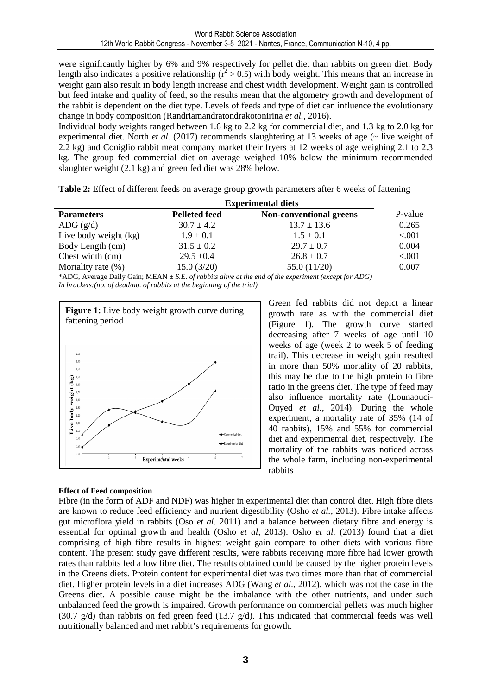were significantly higher by 6% and 9% respectively for pellet diet than rabbits on green diet. Body length also indicates a positive relationship ( $r^2 > 0.5$ ) with body weight. This means that an increase in weight gain also result in body length increase and chest width development. Weight gain is controlled but feed intake and quality of feed, so the results mean that the algometry growth and development of the rabbit is dependent on the diet type. Levels of feeds and type of diet can influence the evolutionary change in body composition (Randriamandratondrakotonirina *et al.,* 2016).

Individual body weights ranged between 1.6 kg to 2.2 kg for commercial diet, and 1.3 kg to 2.0 kg for experimental diet. North *et al.* (2017) recommends slaughtering at 13 weeks of age ( $\sim$  live weight of 2.2 kg) and Coniglio rabbit meat company market their fryers at 12 weeks of age weighing 2.1 to 2.3 kg. The group fed commercial diet on average weighed 10% below the minimum recommended slaughter weight (2.1 kg) and green fed diet was 28% below.

| Table 2: Effect of different feeds on average group growth parameters after 6 weeks of fattening |  |  |  |
|--------------------------------------------------------------------------------------------------|--|--|--|
|--------------------------------------------------------------------------------------------------|--|--|--|

|                       |                      | <b>Experimental diets</b>      |         |
|-----------------------|----------------------|--------------------------------|---------|
| <b>Parameters</b>     | <b>Pelleted feed</b> | <b>Non-conventional greens</b> | P-value |
| ADG $(g/d)$           | $30.7 \pm 4.2$       | $13.7 \pm 13.6$                | 0.265   |
| Live body weight (kg) | $1.9 \pm 0.1$        | $1.5 \pm 0.1$                  | < 0.001 |
| Body Length (cm)      | $31.5 \pm 0.2$       | $29.7 \pm 0.7$                 | 0.004   |
| Chest width (cm)      | $29.5 \pm 0.4$       | $26.8 \pm 0.7$                 | < 0.001 |
| Mortality rate $(\%)$ | 15.0(3/20)           | 55.0(11/20)                    | 0.007   |

\*ADG, Average Daily Gain; MEAN *± S.E. of rabbits alive at the end of the experiment (except for ADG) In brackets:(no. of dead/no. of rabbits at the beginning of the trial)*



Green fed rabbits did not depict a linear growth rate as with the commercial diet (Figure 1). The growth curve started decreasing after 7 weeks of age until 10 weeks of age (week 2 to week 5 of feeding trail). This decrease in weight gain resulted in more than 50% mortality of 20 rabbits, this may be due to the high protein to fibre ratio in the greens diet. The type of feed may also influence mortality rate (Lounaouci-Ouyed *et al.,* 2014). During the whole experiment, a mortality rate of 35% (14 of 40 rabbits), 15% and 55% for commercial diet and experimental diet, respectively. The mortality of the rabbits was noticed across the whole farm, including non-experimental rabbits

#### **Effect of Feed composition**

Fibre (in the form of ADF and NDF) was higher in experimental diet than control diet. High fibre diets are known to reduce feed efficiency and nutrient digestibility (Osho *et al.,* 2013). Fibre intake affects gut microflora yield in rabbits (Oso *et al.* 2011) and a balance between dietary fibre and energy is essential for optimal growth and health (Osho *et al,* 2013). Osho *et al.* (2013) found that a diet comprising of high fibre results in highest weight gain compare to other diets with various fibre content. The present study gave different results, were rabbits receiving more fibre had lower growth rates than rabbits fed a low fibre diet. The results obtained could be caused by the higher protein levels in the Greens diets. Protein content for experimental diet was two times more than that of commercial diet. Higher protein levels in a diet increases ADG (Wang *et al.*, 2012), which was not the case in the Greens diet. A possible cause might be the imbalance with the other nutrients, and under such unbalanced feed the growth is impaired. Growth performance on commercial pellets was much higher (30.7  $g/d$ ) than rabbits on fed green feed (13.7  $g/d$ ). This indicated that commercial feeds was well nutritionally balanced and met rabbit's requirements for growth.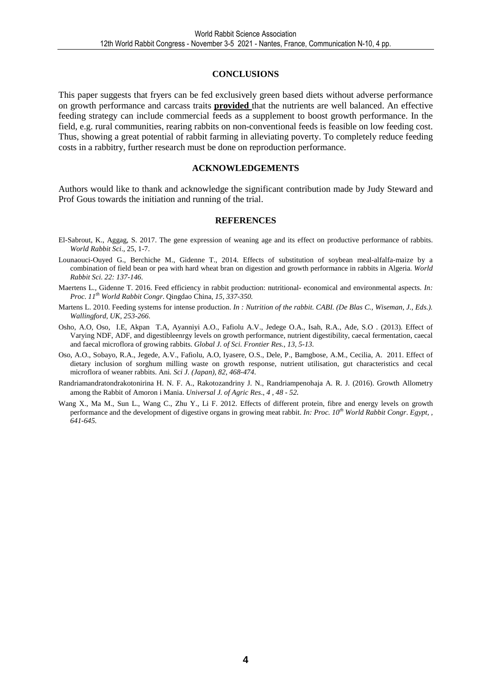#### **CONCLUSIONS**

This paper suggests that fryers can be fed exclusively green based diets without adverse performance on growth performance and carcass traits **provided** that the nutrients are well balanced. An effective feeding strategy can include commercial feeds as a supplement to boost growth performance. In the field, e.g. rural communities, rearing rabbits on non-conventional feeds is feasible on low feeding cost. Thus, showing a great potential of rabbit farming in alleviating poverty. To completely reduce feeding costs in a rabbitry, further research must be done on reproduction performance.

#### **ACKNOWLEDGEMENTS**

Authors would like to thank and acknowledge the significant contribution made by Judy Steward and Prof Gous towards the initiation and running of the trial.

#### **REFERENCES**

- El-Sabrout, K., Aggag, S. 2017. The gene expression of weaning age and its effect on productive performance of rabbits. *World Rabbit Sci*., 25, 1-7.
- Lounaouci-Ouyed G., Berchiche M., Gidenne T., 2014. Effects of substitution of soybean meal-alfalfa-maize by a combination of field bean or pea with hard wheat bran on digestion and growth performance in rabbits in Algeria. *World Rabbit Sci. 22: 137-146.*
- Maertens L., Gidenne T. 2016. Feed efficiency in rabbit production: nutritional- economical and environmental aspects. *In: Proc. 11th World Rabbit Congr*. Qingdao China*, 15, 337-350.*
- Martens L. 2010. Feeding systems for intense production. *In : Nutrition of the rabbit. CABI. (De Blas C., Wiseman, J., Eds.). Wallingford, UK, 253-266.*
- Osho, A.O, Oso, I.E, Akpan T.A, Ayanniyi A.O., Fafiolu A.V., Jedege O.A., Isah, R.A., Ade, S.O . (2013). Effect of Varying NDF, ADF, and digestibleenrgy levels on growth performance, nutrient digestibility, caecal fermentation, caecal and faecal microflora of growing rabbits. *Global J. of Sci. Frontier Res., 13, 5-13.*
- Oso, A.O., Sobayo, R.A., Jegede, A.V., Fafiolu, A.O, Iyasere, O.S., Dele, P., Bamgbose, A.M., Cecilia, A. 2011. Effect of dietary inclusion of sorghum milling waste on growth response, nutrient utilisation, gut characteristics and cecal microflora of weaner rabbits. Ani*. Sci J. (Japan), 82, 468-474*.
- Randriamandratondrakotonirina H. N. F. A., Rakotozandriny J. N., Randriampenohaja A. R. J. (2016). Growth Allometry among the Rabbit of Amoron i Mania. *Universal J. of Agric Res*., *4 , 48 - 52*.
- Wang X., Ma M., Sun L., Wang C., Zhu Y., Li F. 2012. Effects of different protein, fibre and energy levels on growth performance and the development of digestive organs in growing meat rabbit. *In: Proc. 10th World Rabbit Congr*. *Egypt, , 641-645.*